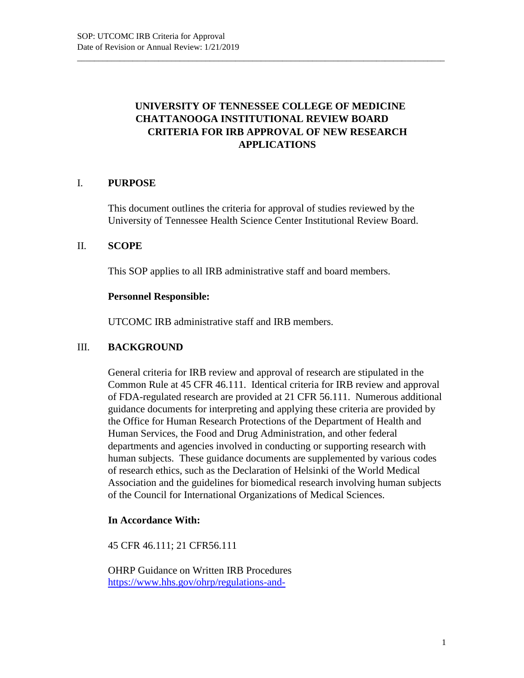# **UNIVERSITY OF TENNESSEE COLLEGE OF MEDICINE CHATTANOOGA INSTITUTIONAL REVIEW BOARD CRITERIA FOR IRB APPROVAL OF NEW RESEARCH APPLICATIONS**

\_\_\_\_\_\_\_\_\_\_\_\_\_\_\_\_\_\_\_\_\_\_\_\_\_\_\_\_\_\_\_\_\_\_\_\_\_\_\_\_\_\_\_\_\_\_\_\_\_\_\_\_\_\_\_\_\_\_\_\_\_\_\_\_\_\_\_\_\_\_\_\_\_\_\_\_\_\_\_\_\_\_\_\_\_\_

# I. **PURPOSE**

This document outlines the criteria for approval of studies reviewed by the University of Tennessee Health Science Center Institutional Review Board.

### II. **SCOPE**

This SOP applies to all IRB administrative staff and board members.

### **Personnel Responsible:**

UTCOMC IRB administrative staff and IRB members.

### III. **BACKGROUND**

General criteria for IRB review and approval of research are stipulated in the Common Rule at 45 CFR 46.111. Identical criteria for IRB review and approval of FDA-regulated research are provided at 21 CFR 56.111. Numerous additional guidance documents for interpreting and applying these criteria are provided by the Office for Human Research Protections of the Department of Health and Human Services, the Food and Drug Administration, and other federal departments and agencies involved in conducting or supporting research with human subjects. These guidance documents are supplemented by various codes of research ethics, such as the Declaration of Helsinki of the World Medical Association and the guidelines for biomedical research involving human subjects of the Council for International Organizations of Medical Sciences.

### **In Accordance With:**

45 CFR 46.111; 21 CFR56.111

OHRP Guidance on Written IRB Procedures https://www.hhs.gov/ohrp/regulations-and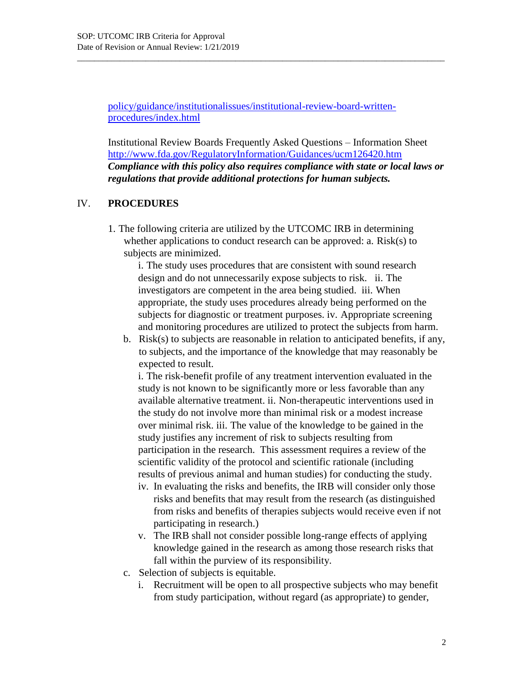policy/guidance/institutionalissues/institutional-review-board-writtenprocedures/index.html

\_\_\_\_\_\_\_\_\_\_\_\_\_\_\_\_\_\_\_\_\_\_\_\_\_\_\_\_\_\_\_\_\_\_\_\_\_\_\_\_\_\_\_\_\_\_\_\_\_\_\_\_\_\_\_\_\_\_\_\_\_\_\_\_\_\_\_\_\_\_\_\_\_\_\_\_\_\_\_\_\_\_\_\_\_\_

Institutional Review Boards Frequently Asked Questions – Information Sheet http://www.fda.gov/RegulatoryInformation/Guidances/ucm126420.htm *Compliance with this policy also requires compliance with state or local laws or regulations that provide additional protections for human subjects.*

# IV. **PROCEDURES**

1. The following criteria are utilized by the UTCOMC IRB in determining whether applications to conduct research can be approved: a. Risk(s) to subjects are minimized.

i. The study uses procedures that are consistent with sound research design and do not unnecessarily expose subjects to risk. ii. The investigators are competent in the area being studied. iii. When appropriate, the study uses procedures already being performed on the subjects for diagnostic or treatment purposes. iv. Appropriate screening and monitoring procedures are utilized to protect the subjects from harm.

b. Risk(s) to subjects are reasonable in relation to anticipated benefits, if any, to subjects, and the importance of the knowledge that may reasonably be expected to result.

i. The risk-benefit profile of any treatment intervention evaluated in the study is not known to be significantly more or less favorable than any available alternative treatment. ii. Non-therapeutic interventions used in the study do not involve more than minimal risk or a modest increase over minimal risk. iii. The value of the knowledge to be gained in the study justifies any increment of risk to subjects resulting from participation in the research. This assessment requires a review of the scientific validity of the protocol and scientific rationale (including results of previous animal and human studies) for conducting the study.

- iv. In evaluating the risks and benefits, the IRB will consider only those risks and benefits that may result from the research (as distinguished from risks and benefits of therapies subjects would receive even if not participating in research.)
- v. The IRB shall not consider possible long-range effects of applying knowledge gained in the research as among those research risks that fall within the purview of its responsibility.
- c. Selection of subjects is equitable.
	- i. Recruitment will be open to all prospective subjects who may benefit from study participation, without regard (as appropriate) to gender,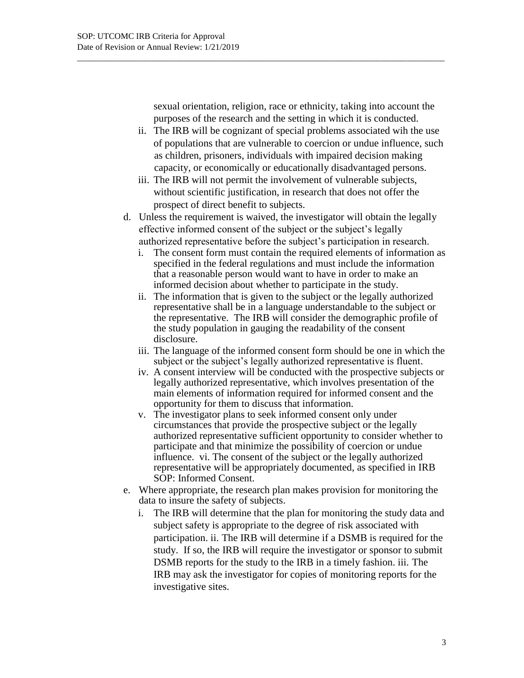sexual orientation, religion, race or ethnicity, taking into account the purposes of the research and the setting in which it is conducted.

\_\_\_\_\_\_\_\_\_\_\_\_\_\_\_\_\_\_\_\_\_\_\_\_\_\_\_\_\_\_\_\_\_\_\_\_\_\_\_\_\_\_\_\_\_\_\_\_\_\_\_\_\_\_\_\_\_\_\_\_\_\_\_\_\_\_\_\_\_\_\_\_\_\_\_\_\_\_\_\_\_\_\_\_\_\_

- ii. The IRB will be cognizant of special problems associated wih the use of populations that are vulnerable to coercion or undue influence, such as children, prisoners, individuals with impaired decision making capacity, or economically or educationally disadvantaged persons.
- iii. The IRB will not permit the involvement of vulnerable subjects, without scientific justification, in research that does not offer the prospect of direct benefit to subjects.
- d. Unless the requirement is waived, the investigator will obtain the legally effective informed consent of the subject or the subject's legally authorized representative before the subject's participation in research.
	- i. The consent form must contain the required elements of information as specified in the federal regulations and must include the information that a reasonable person would want to have in order to make an informed decision about whether to participate in the study.
	- ii. The information that is given to the subject or the legally authorized representative shall be in a language understandable to the subject or the representative. The IRB will consider the demographic profile of the study population in gauging the readability of the consent disclosure.
	- iii. The language of the informed consent form should be one in which the subject or the subject's legally authorized representative is fluent.
	- iv. A consent interview will be conducted with the prospective subjects or legally authorized representative, which involves presentation of the main elements of information required for informed consent and the opportunity for them to discuss that information.
	- v. The investigator plans to seek informed consent only under circumstances that provide the prospective subject or the legally authorized representative sufficient opportunity to consider whether to participate and that minimize the possibility of coercion or undue influence. vi. The consent of the subject or the legally authorized representative will be appropriately documented, as specified in IRB SOP: Informed Consent.
- e. Where appropriate, the research plan makes provision for monitoring the data to insure the safety of subjects.
	- i. The IRB will determine that the plan for monitoring the study data and subject safety is appropriate to the degree of risk associated with participation. ii. The IRB will determine if a DSMB is required for the study. If so, the IRB will require the investigator or sponsor to submit DSMB reports for the study to the IRB in a timely fashion. iii. The IRB may ask the investigator for copies of monitoring reports for the investigative sites.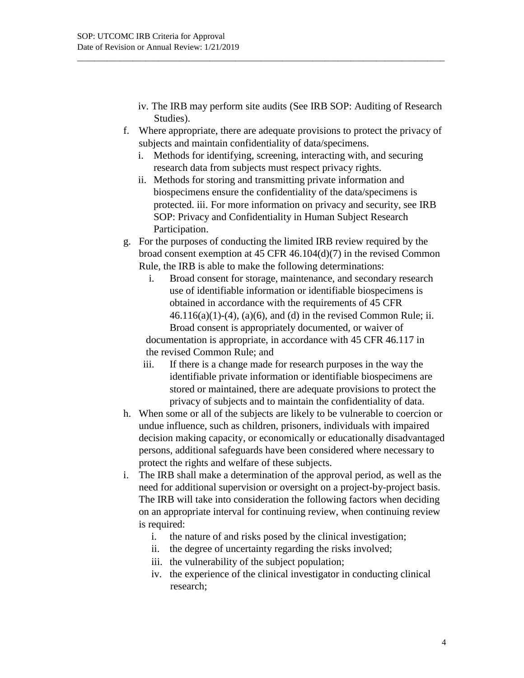- iv. The IRB may perform site audits (See IRB SOP: Auditing of Research Studies).
- f. Where appropriate, there are adequate provisions to protect the privacy of subjects and maintain confidentiality of data/specimens.

\_\_\_\_\_\_\_\_\_\_\_\_\_\_\_\_\_\_\_\_\_\_\_\_\_\_\_\_\_\_\_\_\_\_\_\_\_\_\_\_\_\_\_\_\_\_\_\_\_\_\_\_\_\_\_\_\_\_\_\_\_\_\_\_\_\_\_\_\_\_\_\_\_\_\_\_\_\_\_\_\_\_\_\_\_\_

- i. Methods for identifying, screening, interacting with, and securing research data from subjects must respect privacy rights.
- ii. Methods for storing and transmitting private information and biospecimens ensure the confidentiality of the data/specimens is protected. iii. For more information on privacy and security, see IRB SOP: Privacy and Confidentiality in Human Subject Research Participation.
- g. For the purposes of conducting the limited IRB review required by the broad consent exemption at 45 CFR 46.104(d)(7) in the revised Common Rule, the IRB is able to make the following determinations:
	- i. Broad consent for storage, maintenance, and secondary research use of identifiable information or identifiable biospecimens is obtained in accordance with the requirements of 45 CFR  $46.116(a)(1)-(4)$ ,  $(a)(6)$ , and  $(d)$  in the revised Common Rule; ii. Broad consent is appropriately documented, or waiver of documentation is appropriate, in accordance with 45 CFR 46.117 in the revised Common Rule; and
	- iii. If there is a change made for research purposes in the way the identifiable private information or identifiable biospecimens are stored or maintained, there are adequate provisions to protect the privacy of subjects and to maintain the confidentiality of data.
- h. When some or all of the subjects are likely to be vulnerable to coercion or undue influence, such as children, prisoners, individuals with impaired decision making capacity, or economically or educationally disadvantaged persons, additional safeguards have been considered where necessary to protect the rights and welfare of these subjects.
- i. The IRB shall make a determination of the approval period, as well as the need for additional supervision or oversight on a project-by-project basis. The IRB will take into consideration the following factors when deciding on an appropriate interval for continuing review, when continuing review is required:
	- i. the nature of and risks posed by the clinical investigation;
	- ii. the degree of uncertainty regarding the risks involved;
	- iii. the vulnerability of the subject population;
	- iv. the experience of the clinical investigator in conducting clinical research;